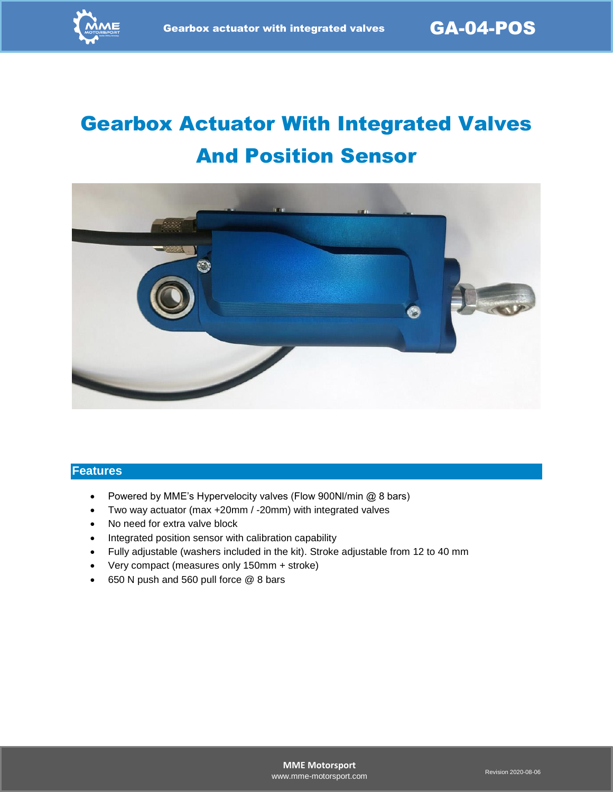# Gearbox Actuator With Integrated Valves And Position Sensor



#### **Features**

- Powered by MME's Hypervelocity valves (Flow 900Nl/min @ 8 bars)
- Two way actuator (max +20mm / -20mm) with integrated valves
- No need for extra valve block
- Integrated position sensor with calibration capability
- Fully adjustable (washers included in the kit). Stroke adjustable from 12 to 40 mm
- Very compact (measures only 150mm + stroke)
- 650 N push and 560 pull force @ 8 bars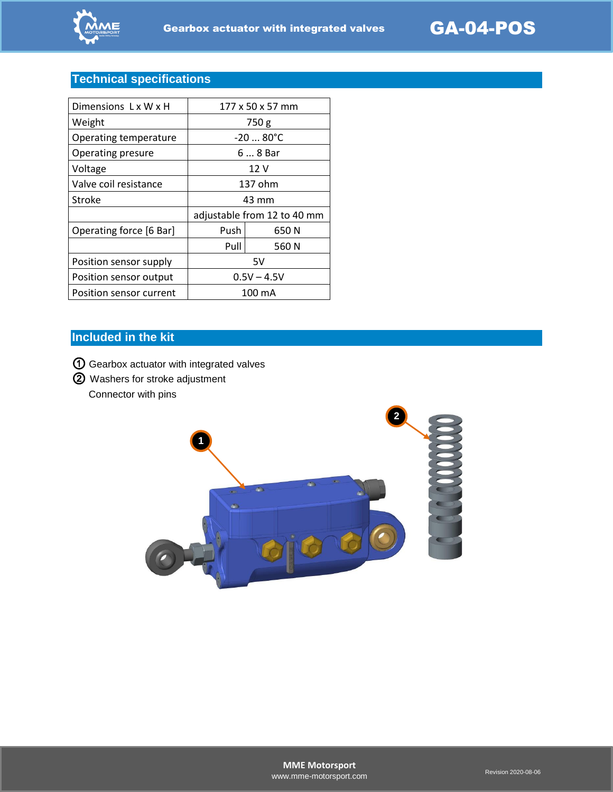

## **Technical specifications**

| Dimensions LxWxH        | 177 x 50 x 57 mm            |       |
|-------------------------|-----------------------------|-------|
| Weight                  | 750 g                       |       |
| Operating temperature   | $-2080^{\circ}C$            |       |
| Operating presure       | 6  8 Bar                    |       |
| Voltage                 | 12 V                        |       |
| Valve coil resistance   | 137 ohm                     |       |
| Stroke                  | 43 mm                       |       |
|                         | adjustable from 12 to 40 mm |       |
| Operating force [6 Bar] | Push                        | 650 N |
|                         | Pull                        | 560 N |
| Position sensor supply  | 5V                          |       |
| Position sensor output  | $0.5V - 4.5V$               |       |
| Position sensor current | 100 mA                      |       |
|                         |                             |       |

#### **Included in the kit**

① Gearbox actuator with integrated valves

② Washers for stroke adjustment Connector with pins

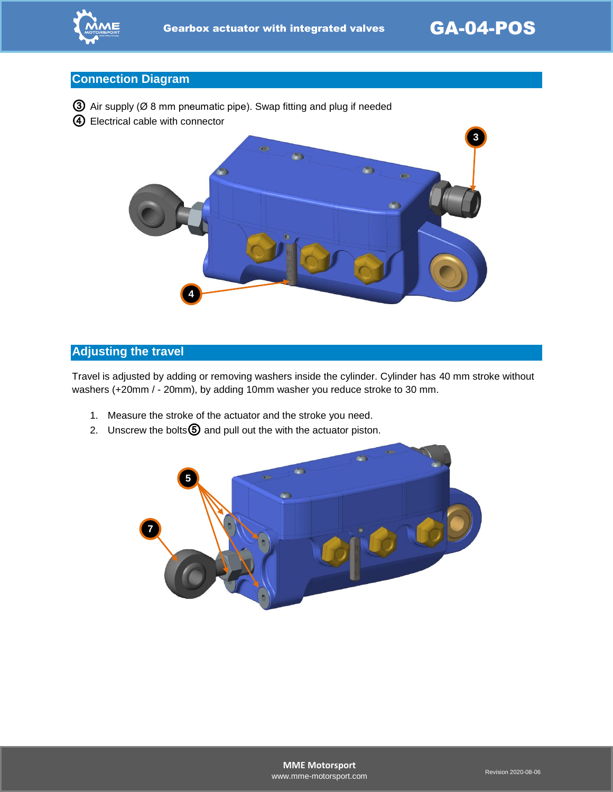

#### **Connection Diagram**

- ③ Air supply (Ø 8 mm pneumatic pipe). Swap fitting and plug if needed
- ④ Electrical cable with connector



#### **Adjusting the travel**

Travel is adjusted by adding or removing washers inside the cylinder. Cylinder has 40 mm stroke without washers (+20mm / - 20mm), by adding 10mm washer you reduce stroke to 30 mm.

- 1. Measure the stroke of the actuator and the stroke you need.
- 2. Unscrew the bolts $\textcircled{5}$  and pull out the with the actuator piston.

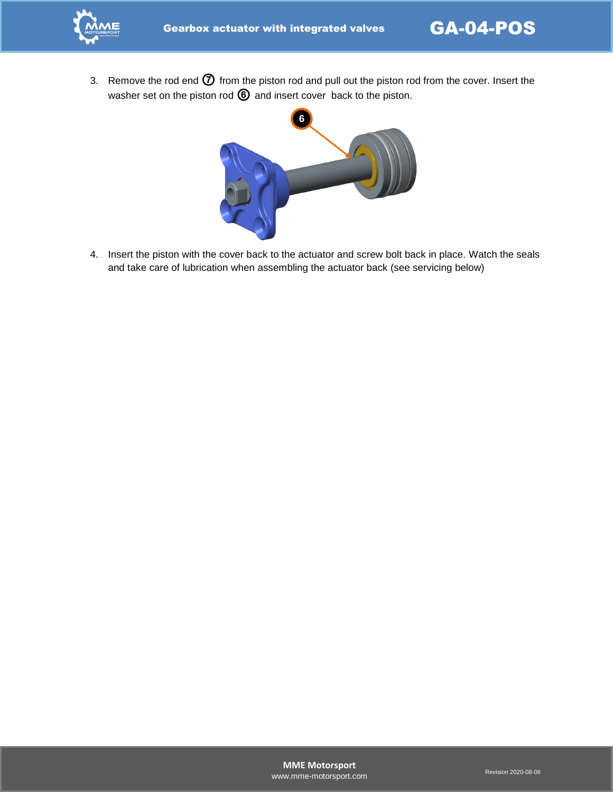

3. Remove the rod end  $\oslash$  from the piston rod and pull out the piston rod from the cover. Insert the washer set on the piston rod  $\textcircled{6}$  and insert cover back to the piston.



4. Insert the piston with the cover back to the actuator and screw bolt back in place. Watch the seals and take care of lubrication when assembling the actuator back (see servicing below)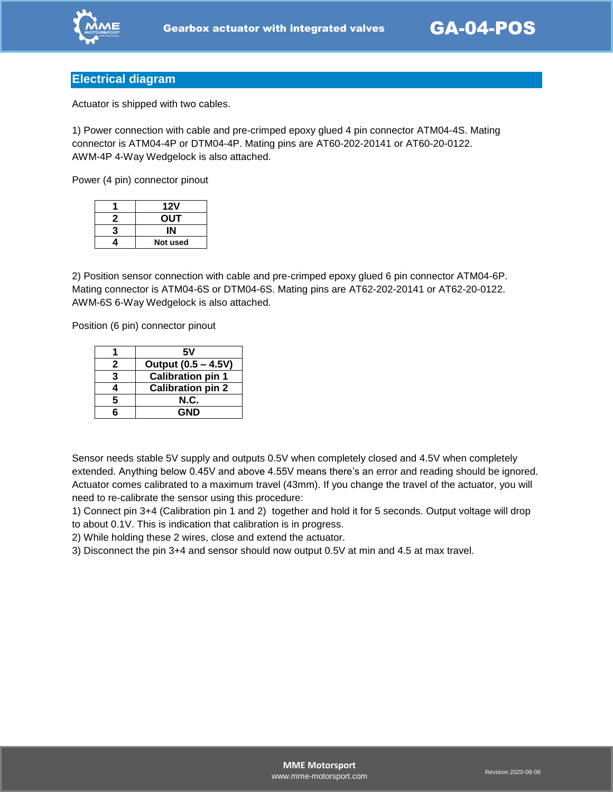

#### **Electrical diagram**

Actuator is shipped with two cables.

1) Power connection with cable and pre-crimped epoxy glued 4 pin connector ATM04-4S. Mating connector is ATM04-4P or DTM04-4P. Mating pins are AT60-202-20141 or AT60-20-0122. AWM-4P 4-Way Wedgelock is also attached.

Power (4 pin) connector pinout

|   | 12V      |
|---|----------|
| 2 | OUT      |
| 3 |          |
|   | Not used |

2) Position sensor connection with cable and pre-crimped epoxy glued 6 pin connector ATM04-6P. Mating connector is ATM04-6S or DTM04-6S. Mating pins are AT62-202-20141 or AT62-20-0122. AWM-6S 6-Way Wedgelock is also attached.

Position (6 pin) connector pinout

|   | 5٧                       |  |
|---|--------------------------|--|
| 2 | Output (0.5 - 4.5V)      |  |
| З | <b>Calibration pin 1</b> |  |
|   | <b>Calibration pin 2</b> |  |
| 5 | N.C.                     |  |
|   | GND                      |  |

Sensor needs stable 5V supply and outputs 0.5V when completely closed and 4.5V when completely extended. Anything below 0.45V and above 4.55V means there's an error and reading should be ignored. Actuator comes calibrated to a maximum travel (43mm). If you change the travel of the actuator, you will need to re-calibrate the sensor using this procedure:

1) Connect pin 3+4 (Calibration pin 1 and 2) together and hold it for 5 seconds. Output voltage will drop to about 0.1V. This is indication that calibration is in progress.

2) While holding these 2 wires, close and extend the actuator.

3) Disconnect the pin 3+4 and sensor should now output 0.5V at min and 4.5 at max travel.